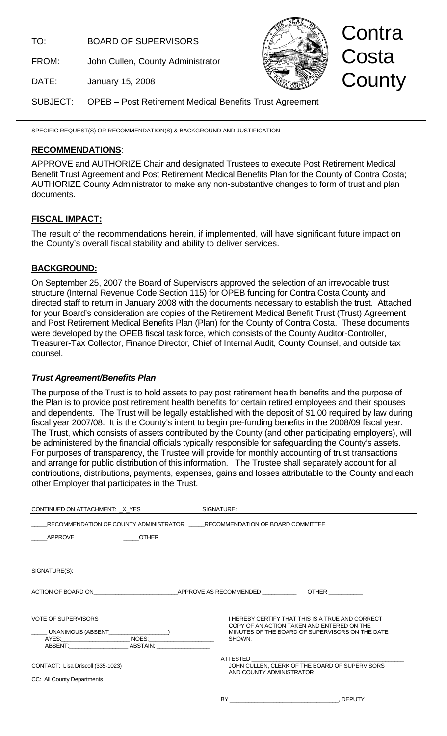TO: BOARD OF SUPERVISORS

FROM: John Cullen, County Administrator



Contra Costa **County** 

DATE: January 15, 2008

SUBJECT: OPEB – Post Retirement Medical Benefits Trust Agreement

SPECIFIC REQUEST(S) OR RECOMMENDATION(S) & BACKGROUND AND JUSTIFICATION

### **RECOMMENDATIONS**:

APPROVE and AUTHORIZE Chair and designated Trustees to execute Post Retirement Medical Benefit Trust Agreement and Post Retirement Medical Benefits Plan for the County of Contra Costa; AUTHORIZE County Administrator to make any non-substantive changes to form of trust and plan documents.

# **FISCAL IMPACT:**

The result of the recommendations herein, if implemented, will have significant future impact on the County's overall fiscal stability and ability to deliver services.

## **BACKGROUND:**

On September 25, 2007 the Board of Supervisors approved the selection of an irrevocable trust structure (Internal Revenue Code Section 115) for OPEB funding for Contra Costa County and directed staff to return in January 2008 with the documents necessary to establish the trust. Attached for your Board's consideration are copies of the Retirement Medical Benefit Trust (Trust) Agreement and Post Retirement Medical Benefits Plan (Plan) for the County of Contra Costa. These documents were developed by the OPEB fiscal task force, which consists of the County Auditor-Controller, Treasurer-Tax Collector, Finance Director, Chief of Internal Audit, County Counsel, and outside tax counsel.

## *Trust Agreement/Benefits Plan*

The purpose of the Trust is to hold assets to pay post retirement health benefits and the purpose of the Plan is to provide post retirement health benefits for certain retired employees and their spouses and dependents. The Trust will be legally established with the deposit of \$1.00 required by law during fiscal year 2007/08. It is the County's intent to begin pre-funding benefits in the 2008/09 fiscal year. The Trust, which consists of assets contributed by the County (and other participating employers), will be administered by the financial officials typically responsible for safeguarding the County's assets. For purposes of transparency, the Trustee will provide for monthly accounting of trust transactions and arrange for public distribution of this information. The Trustee shall separately account for all contributions, distributions, payments, expenses, gains and losses attributable to the County and each other Employer that participates in the Trust.

| CONTINUED ON ATTACHMENT: X_YES                                                                               |              | SIGNATURE:                                                               |                                                                                                            |
|--------------------------------------------------------------------------------------------------------------|--------------|--------------------------------------------------------------------------|------------------------------------------------------------------------------------------------------------|
| APPROVE                                                                                                      | <b>OTHER</b> | RECOMMENDATION OF COUNTY ADMINISTRATOR RECOMMENDATION OF BOARD COMMITTEE |                                                                                                            |
| SIGNATURE(S):                                                                                                |              |                                                                          |                                                                                                            |
| ACTION OF BOARD ON APPROVE AS RECOMMENDED THERE THE CONDUCT OF BOARD ON A RECOMMENDED APPROVE AS RECOMMENDED |              |                                                                          |                                                                                                            |
| <b>VOTE OF SUPERVISORS</b><br>ABSENT: ABSTAIN:                                                               |              | COPY OF AN ACTION TAKEN AND ENTERED ON THE<br>SHOWN.                     | <b>I HEREBY CERTIFY THAT THIS IS A TRUE AND CORRECT</b><br>MINUTES OF THE BOARD OF SUPERVISORS ON THE DATE |
| CONTACT: Lisa Driscoll (335-1023)<br>CC: All County Departments                                              |              | ATTESTED<br>AND COUNTY ADMINISTRATOR                                     | JOHN CULLEN, CLERK OF THE BOARD OF SUPERVISORS                                                             |
|                                                                                                              |              | BY                                                                       | . DEPUTY                                                                                                   |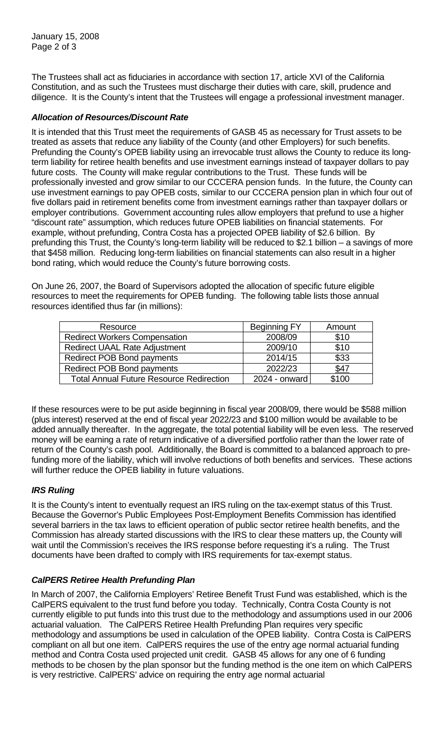January 15, 2008 Page 2 of 3

The Trustees shall act as fiduciaries in accordance with section 17, article XVI of the California Constitution, and as such the Trustees must discharge their duties with care, skill, prudence and diligence. It is the County's intent that the Trustees will engage a professional investment manager.

## *Allocation of Resources/Discount Rate*

It is intended that this Trust meet the requirements of GASB 45 as necessary for Trust assets to be treated as assets that reduce any liability of the County (and other Employers) for such benefits. Prefunding the County's OPEB liability using an irrevocable trust allows the County to reduce its longterm liability for retiree health benefits and use investment earnings instead of taxpayer dollars to pay future costs. The County will make regular contributions to the Trust. These funds will be professionally invested and grow similar to our CCCERA pension funds. In the future, the County can use investment earnings to pay OPEB costs, similar to our CCCERA pension plan in which four out of five dollars paid in retirement benefits come from investment earnings rather than taxpayer dollars or employer contributions. Government accounting rules allow employers that prefund to use a higher "discount rate" assumption, which reduces future OPEB liabilities on financial statements. For example, without prefunding, Contra Costa has a projected OPEB liability of \$2.6 billion. By prefunding this Trust, the County's long-term liability will be reduced to \$2.1 billion – a savings of more that \$458 million. Reducing long-term liabilities on financial statements can also result in a higher bond rating, which would reduce the County's future borrowing costs.

On June 26, 2007, the Board of Supervisors adopted the allocation of specific future eligible resources to meet the requirements for OPEB funding. The following table lists those annual resources identified thus far (in millions):

| Resource                                        | <b>Beginning FY</b> | Amount |
|-------------------------------------------------|---------------------|--------|
| <b>Redirect Workers Compensation</b>            | 2008/09             | \$10   |
| <b>Redirect UAAL Rate Adjustment</b>            | 2009/10             | \$10   |
| <b>Redirect POB Bond payments</b>               | 2014/15             | \$33   |
| <b>Redirect POB Bond payments</b>               | 2022/23             | \$47   |
| <b>Total Annual Future Resource Redirection</b> | 2024 - onward       | \$100  |

If these resources were to be put aside beginning in fiscal year 2008/09, there would be \$588 million (plus interest) reserved at the end of fiscal year 2022/23 and \$100 million would be available to be added annually thereafter. In the aggregate, the total potential liability will be even less. The reserved money will be earning a rate of return indicative of a diversified portfolio rather than the lower rate of return of the County's cash pool. Additionally, the Board is committed to a balanced approach to prefunding more of the liability, which will involve reductions of both benefits and services. These actions will further reduce the OPEB liability in future valuations.

### *IRS Ruling*

It is the County's intent to eventually request an IRS ruling on the tax-exempt status of this Trust. Because the Governor's Public Employees Post-Employment Benefits Commission has identified several barriers in the tax laws to efficient operation of public sector retiree health benefits, and the Commission has already started discussions with the IRS to clear these matters up, the County will wait until the Commission's receives the IRS response before requesting it's a ruling. The Trust documents have been drafted to comply with IRS requirements for tax-exempt status.

### *CalPERS Retiree Health Prefunding Plan*

In March of 2007, the California Employers' Retiree Benefit Trust Fund was established, which is the CalPERS equivalent to the trust fund before you today. Technically, Contra Costa County is not currently eligible to put funds into this trust due to the methodology and assumptions used in our 2006 actuarial valuation. The CalPERS Retiree Health Prefunding Plan requires very specific methodology and assumptions be used in calculation of the OPEB liability. Contra Costa is CalPERS compliant on all but one item. CalPERS requires the use of the entry age normal actuarial funding method and Contra Costa used projected unit credit. GASB 45 allows for any one of 6 funding methods to be chosen by the plan sponsor but the funding method is the one item on which CalPERS is very restrictive. CalPERS' advice on requiring the entry age normal actuarial